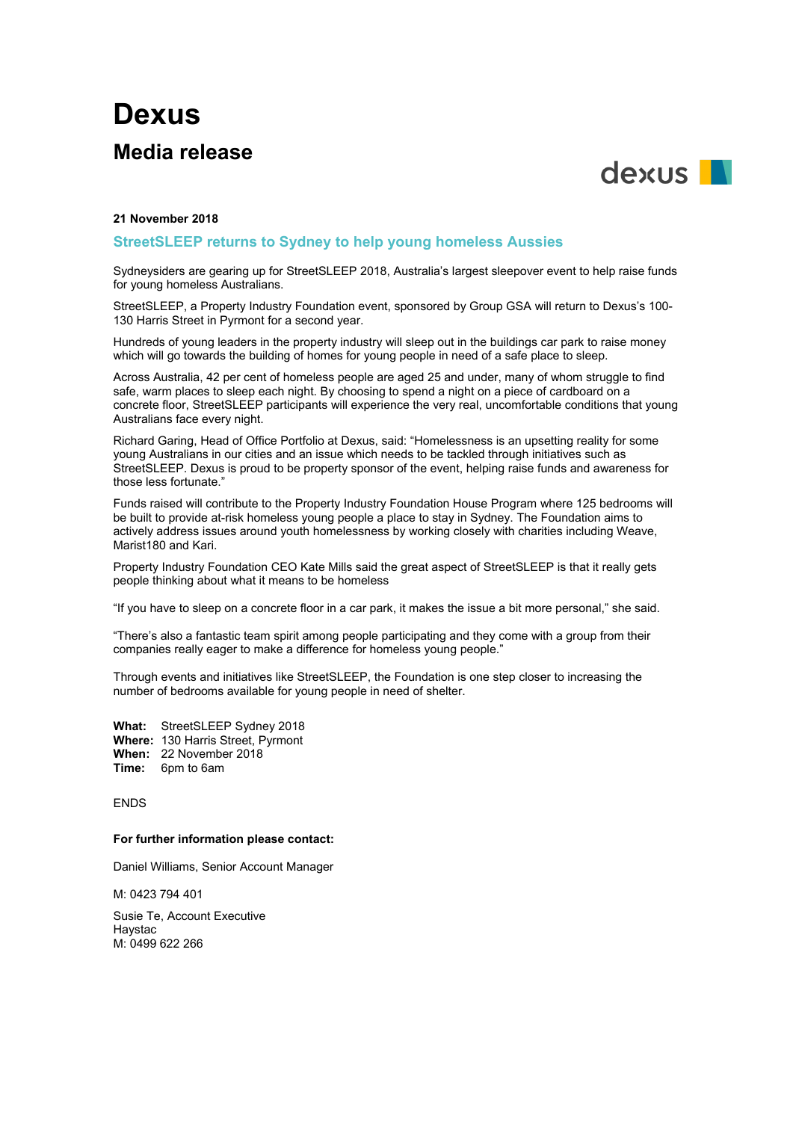# **Dexus Media release**



## **21 November 2018**

## **StreetSLEEP returns to Sydney to help young homeless Aussies**

Sydneysiders are gearing up for StreetSLEEP 2018, Australia's largest sleepover event to help raise funds for young homeless Australians.

StreetSLEEP, a Property Industry Foundation event, sponsored by Group GSA will return to Dexus's 100- 130 Harris Street in Pyrmont for a second year.

Hundreds of young leaders in the property industry will sleep out in the buildings car park to raise money which will go towards the building of homes for young people in need of a safe place to sleep.

Across Australia, 42 per cent of homeless people are aged 25 and under, many of whom struggle to find safe, warm places to sleep each night. By choosing to spend a night on a piece of cardboard on a concrete floor, StreetSLEEP participants will experience the very real, uncomfortable conditions that young Australians face every night.

Richard Garing, Head of Office Portfolio at Dexus, said: "Homelessness is an upsetting reality for some young Australians in our cities and an issue which needs to be tackled through initiatives such as StreetSLEEP. Dexus is proud to be property sponsor of the event, helping raise funds and awareness for those less fortunate."

Funds raised will contribute to the Property Industry Foundation House Program where 125 bedrooms will be built to provide at-risk homeless young people a place to stay in Sydney. The Foundation aims to actively address issues around youth homelessness by working closely with charities including Weave, Marist180 and Kari.

Property Industry Foundation CEO Kate Mills said the great aspect of StreetSLEEP is that it really gets people thinking about what it means to be homeless

"If you have to sleep on a concrete floor in a car park, it makes the issue a bit more personal," she said.

"There's also a fantastic team spirit among people participating and they come with a group from their companies really eager to make a difference for homeless young people."

Through events and initiatives like StreetSLEEP, the Foundation is one step closer to increasing the number of bedrooms available for young people in need of shelter.

**What:** StreetSLEEP Sydney 2018 **Where:** 130 Harris Street, Pyrmont **When:** 22 November 2018 **Time:** 6pm to 6am

ENDS

#### **For further information please contact:**

Daniel Williams, Senior Account Manager

M: 0423 794 401

Susie Te, Account Executive Haystac M: 0499 622 266